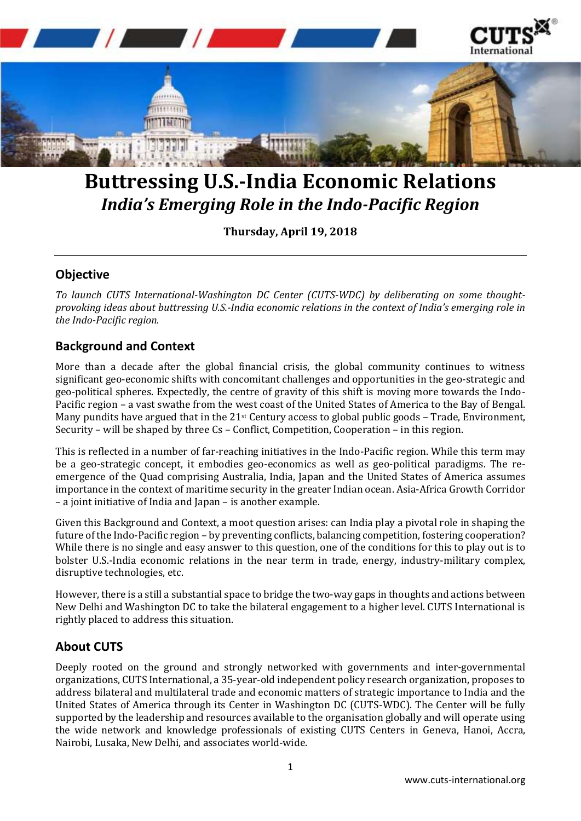

## **Buttressing U.S.-India Economic Relations** *India's Emerging Role in the Indo-Pacific Region*

**Thursday, April 19, 2018**

## **Objective**

*To launch CUTS International-Washington DC Center (CUTS-WDC) by deliberating on some thoughtprovoking ideas about buttressing U.S.-India economic relations in the context of India's emerging role in the Indo-Pacific region.*

## **Background and Context**

More than a decade after the global financial crisis, the global community continues to witness significant geo-economic shifts with concomitant challenges and opportunities in the geo-strategic and geo-political spheres. Expectedly, the centre of gravity of this shift is moving more towards the Indo-Pacific region – a vast swathe from the west coast of the United States of America to the Bay of Bengal. Many pundits have argued that in the 21<sup>st</sup> Century access to global public goods - Trade, Environment, Security – will be shaped by three Cs – Conflict, Competition, Cooperation – in this region.

This is reflected in a number of far-reaching initiatives in the Indo-Pacific region. While this term may be a geo-strategic concept, it embodies geo-economics as well as geo-political paradigms. The reemergence of the Quad comprising Australia, India, Japan and the United States of America assumes importance in the context of maritime security in the greater Indian ocean. Asia-Africa Growth Corridor – a joint initiative of India and Japan – is another example.

Given this Background and Context, a moot question arises: can India play a pivotal role in shaping the future of the Indo-Pacific region – by preventing conflicts, balancing competition, fostering cooperation? While there is no single and easy answer to this question, one of the conditions for this to play out is to bolster U.S.-India economic relations in the near term in trade, energy, industry-military complex, disruptive technologies, etc.

However, there is a still a substantial space to bridge the two-way gaps in thoughts and actions between New Delhi and Washington DC to take the bilateral engagement to a higher level. CUTS International is rightly placed to address this situation.

## **About CUTS**

Deeply rooted on the ground and strongly networked with governments and inter-governmental organizations, CUTS International, a 35-year-old independent policy research organization, proposes to address bilateral and multilateral trade and economic matters of strategic importance to India and the United States of America through its Center in Washington DC (CUTS-WDC). The Center will be fully supported by the leadership and resources available to the organisation globally and will operate using the wide network and knowledge professionals of existing CUTS Centers in Geneva, Hanoi, Accra, Nairobi, Lusaka, New Delhi, and associates world-wide.